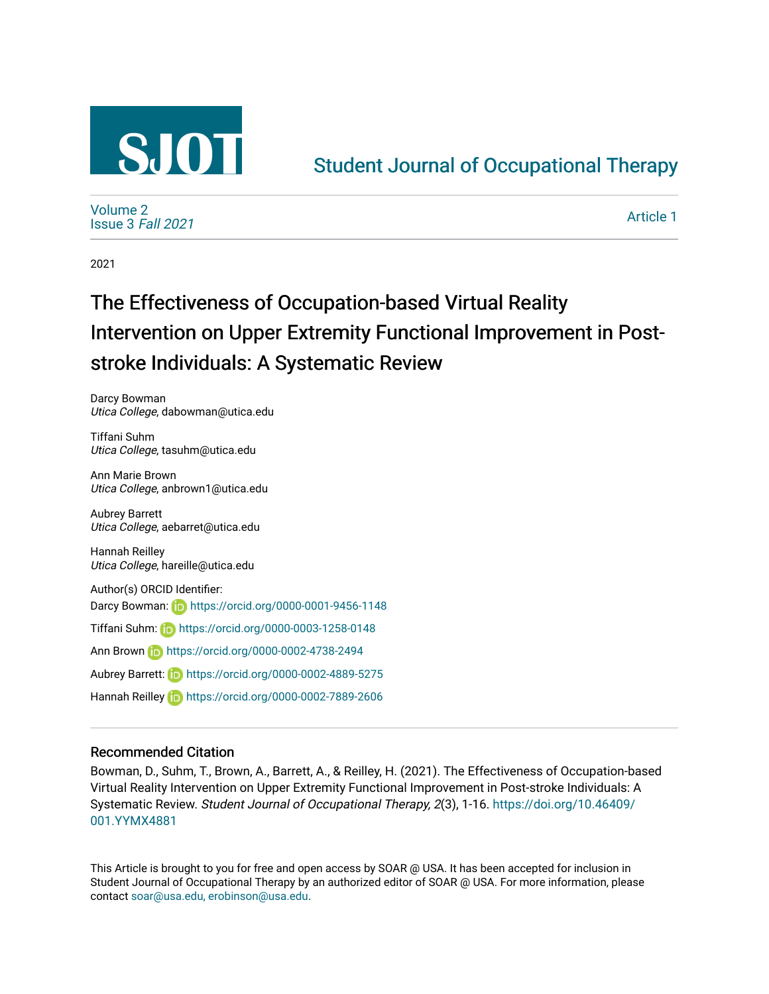

## [Student Journal of Occupational Therapy](https://soar.usa.edu/sjot)

[Volume 2](https://soar.usa.edu/sjot/vol2) [Issue 3](https://soar.usa.edu/sjot/vol2/iss3) Fall 2021

[Article 1](https://soar.usa.edu/sjot/vol2/iss3/1) 

2021

# The Effectiveness of Occupation-based Virtual Reality Intervention on Upper Extremity Functional Improvement in Poststroke Individuals: A Systematic Review

Darcy Bowman Utica College, dabowman@utica.edu

Tiffani Suhm Utica College, tasuhm@utica.edu

Ann Marie Brown Utica College, anbrown1@utica.edu

Aubrey Barrett Utica College, aebarret@utica.edu

Hannah Reilley Utica College, hareille@utica.edu

Author(s) ORCID Identifier: Darcy Bowman: **<https://orcid.org/0000-0001-9456-1148>** Tiffani Suhm: <https://orcid.org/0000-0003-1258-0148> Ann Brown **<https://orcid.org/0000-0002-4738-2494>** Aubrey Barrett: <https://orcid.org/0000-0002-4889-5275>

Hannah Reilley **in**<https://orcid.org/0000-0002-7889-2606>

#### Recommended Citation

Bowman, D., Suhm, T., Brown, A., Barrett, A., & Reilley, H. (2021). The Effectiveness of Occupation-based Virtual Reality Intervention on Upper Extremity Functional Improvement in Post-stroke Individuals: A Systematic Review. Student Journal of Occupational Therapy, 2(3), 1-16. [https://doi.org/10.46409/](https://doi.org/10.46409/001.YYMX4881) [001.YYMX4881](https://doi.org/10.46409/001.YYMX4881)

This Article is brought to you for free and open access by SOAR @ USA. It has been accepted for inclusion in Student Journal of Occupational Therapy by an authorized editor of SOAR @ USA. For more information, please contact [soar@usa.edu, erobinson@usa.edu.](mailto:soar@usa.edu,%20erobinson@usa.edu)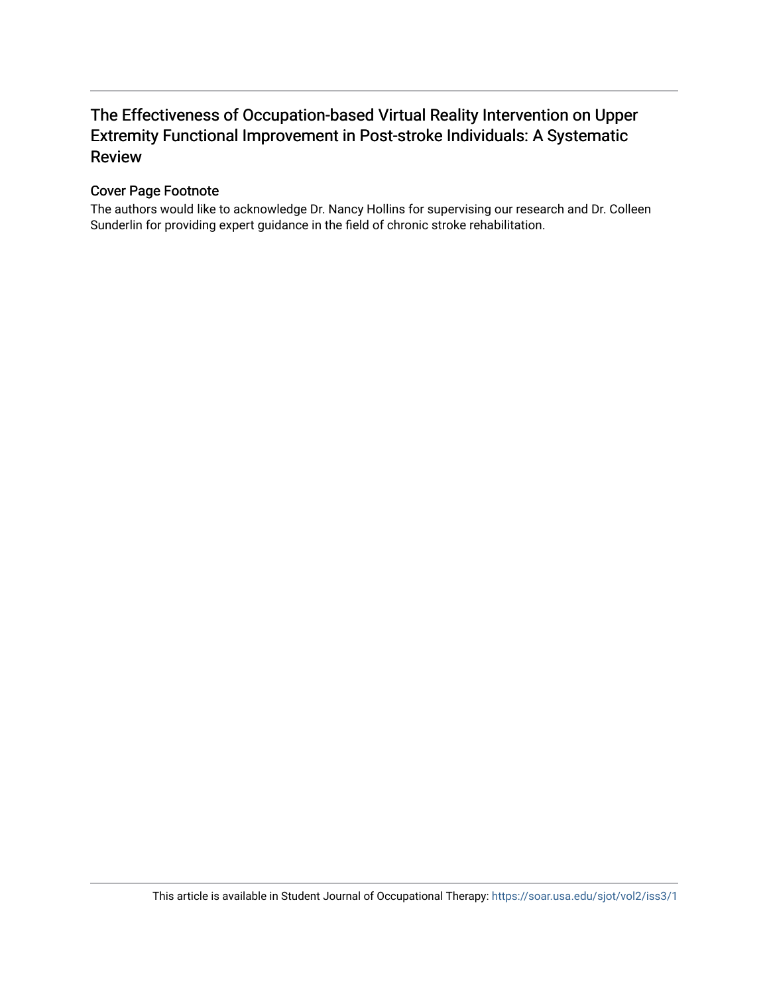## The Effectiveness of Occupation-based Virtual Reality Intervention on Upper Extremity Functional Improvement in Post-stroke Individuals: A Systematic Review

#### Cover Page Footnote

The authors would like to acknowledge Dr. Nancy Hollins for supervising our research and Dr. Colleen Sunderlin for providing expert guidance in the field of chronic stroke rehabilitation.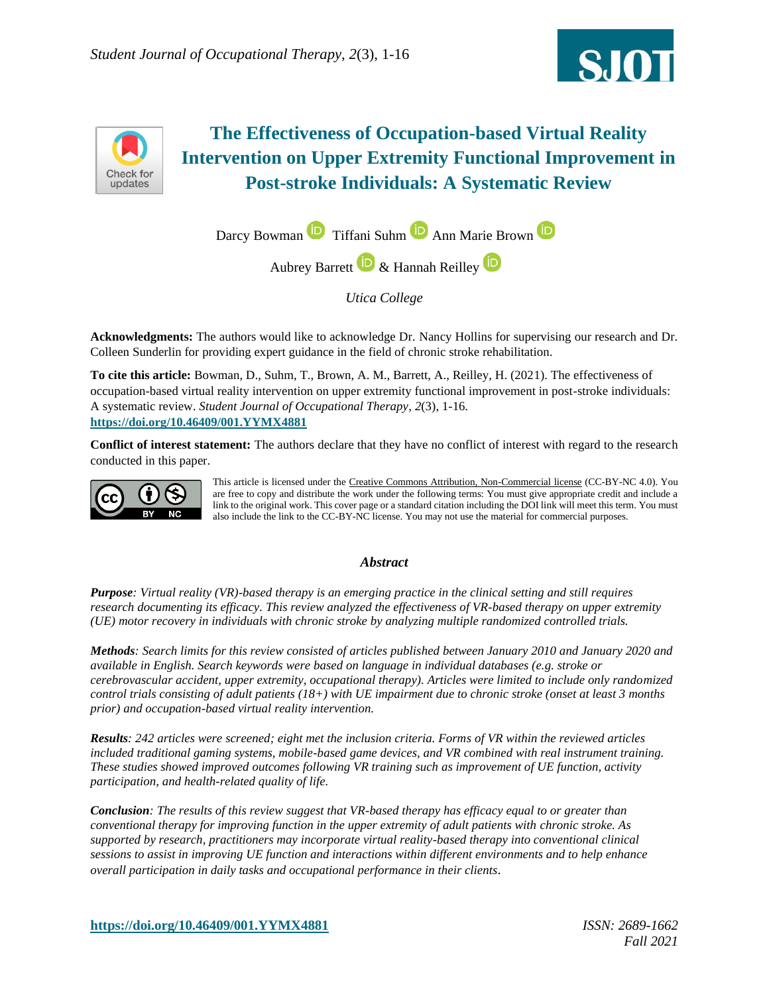



## **The Effectiveness of Occupation-based Virtual Reality Intervention on Upper Extremity Functional Improvement in Post-stroke Individuals: A Systematic Review**



*Utica College*

**Acknowledgments:** The authors would like to acknowledge Dr. Nancy Hollins for supervising our research and Dr. Colleen Sunderlin for providing expert guidance in the field of chronic stroke rehabilitation.

**To cite this article:** Bowman, D., Suhm, T., Brown, A. M., Barrett, A., Reilley, H. (2021). The effectiveness of occupation-based virtual reality intervention on upper extremity functional improvement in post-stroke individuals: A systematic review. *Student Journal of Occupational Therapy, 2*(3), 1-16*.* **<https://doi.org/10.46409/001.YYMX4881>**

**Conflict of interest statement:** The authors declare that they have no conflict of interest with regard to the research conducted in this paper.



This article is licensed under the [Creative Commons Attribution, Non-Commercial license](https://creativecommons.org/licenses/by-nc/4.0/) (CC-BY-NC 4.0). You are free to copy and distribute the work under the following terms: You must give appropriate credit and include a link to the original work. This cover page or a standard citation including the DOI link will meet this term. You must also include the link to the CC-BY-NC license. You may not use the material for commercial purposes.

#### *Abstract*

*Purpose: Virtual reality (VR)-based therapy is an emerging practice in the clinical setting and still requires research documenting its efficacy. This review analyzed the effectiveness of VR-based therapy on upper extremity (UE) motor recovery in individuals with chronic stroke by analyzing multiple randomized controlled trials.* 

*Methods: Search limits for this review consisted of articles published between January 2010 and January 2020 and available in English. Search keywords were based on language in individual databases (e.g. stroke or cerebrovascular accident, upper extremity, occupational therapy). Articles were limited to include only randomized control trials consisting of adult patients (18+) with UE impairment due to chronic stroke (onset at least 3 months prior) and occupation-based virtual reality intervention.* 

*Results: 242 articles were screened; eight met the inclusion criteria. Forms of VR within the reviewed articles included traditional gaming systems, mobile-based game devices, and VR combined with real instrument training. These studies showed improved outcomes following VR training such as improvement of UE function, activity participation, and health-related quality of life.* 

*Conclusion: The results of this review suggest that VR-based therapy has efficacy equal to or greater than conventional therapy for improving function in the upper extremity of adult patients with chronic stroke. As supported by research, practitioners may incorporate virtual reality-based therapy into conventional clinical sessions to assist in improving UE function and interactions within different environments and to help enhance overall participation in daily tasks and occupational performance in their clients.*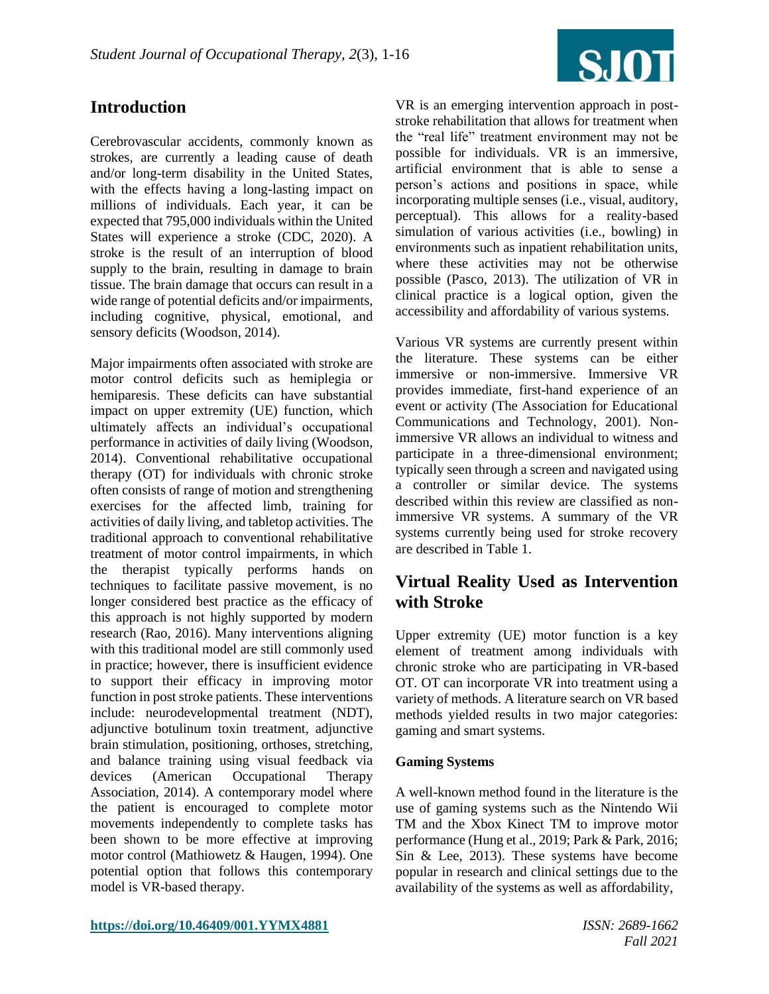

## **Introduction**

Cerebrovascular accidents, commonly known as strokes, are currently a leading cause of death and/or long-term disability in the United States, with the effects having a long-lasting impact on millions of individuals. Each year, it can be expected that 795,000 individuals within the United States will experience a stroke (CDC, 2020). A stroke is the result of an interruption of blood supply to the brain, resulting in damage to brain tissue. The brain damage that occurs can result in a wide range of potential deficits and/or impairments, including cognitive, physical, emotional, and sensory deficits (Woodson, 2014).

Major impairments often associated with stroke are motor control deficits such as hemiplegia or hemiparesis. These deficits can have substantial impact on upper extremity (UE) function, which ultimately affects an individual's occupational performance in activities of daily living (Woodson, 2014). Conventional rehabilitative occupational therapy (OT) for individuals with chronic stroke often consists of range of motion and strengthening exercises for the affected limb, training for activities of daily living, and tabletop activities. The traditional approach to conventional rehabilitative treatment of motor control impairments, in which the therapist typically performs hands on techniques to facilitate passive movement, is no longer considered best practice as the efficacy of this approach is not highly supported by modern research (Rao, 2016). Many interventions aligning with this traditional model are still commonly used in practice; however, there is insufficient evidence to support their efficacy in improving motor function in post stroke patients. These interventions include: neurodevelopmental treatment (NDT), adjunctive botulinum toxin treatment, adjunctive brain stimulation, positioning, orthoses, stretching, and balance training using visual feedback via devices (American Occupational Therapy Association, 2014). A contemporary model where the patient is encouraged to complete motor movements independently to complete tasks has been shown to be more effective at improving motor control (Mathiowetz & Haugen, 1994). One potential option that follows this contemporary model is VR-based therapy.

VR is an emerging intervention approach in poststroke rehabilitation that allows for treatment when the "real life" treatment environment may not be possible for individuals. VR is an immersive, artificial environment that is able to sense a person's actions and positions in space, while incorporating multiple senses (i.e., visual, auditory, perceptual). This allows for a reality-based simulation of various activities (i.e., bowling) in environments such as inpatient rehabilitation units, where these activities may not be otherwise possible (Pasco, 2013). The utilization of VR in clinical practice is a logical option, given the accessibility and affordability of various systems.

Various VR systems are currently present within the literature. These systems can be either immersive or non-immersive. Immersive VR provides immediate, first-hand experience of an event or activity (The Association for Educational Communications and Technology, 2001). Nonimmersive VR allows an individual to witness and participate in a three-dimensional environment; typically seen through a screen and navigated using a controller or similar device. The systems described within this review are classified as nonimmersive VR systems. A summary of the VR systems currently being used for stroke recovery are described in Table 1.

## **Virtual Reality Used as Intervention with Stroke**

Upper extremity (UE) motor function is a key element of treatment among individuals with chronic stroke who are participating in VR-based OT. OT can incorporate VR into treatment using a variety of methods. A literature search on VR based methods yielded results in two major categories: gaming and smart systems.

#### **Gaming Systems**

A well-known method found in the literature is the use of gaming systems such as the Nintendo Wii TM and the Xbox Kinect TM to improve motor performance (Hung et al., 2019; Park & Park, 2016; Sin & Lee, 2013). These systems have become popular in research and clinical settings due to the availability of the systems as well as affordability,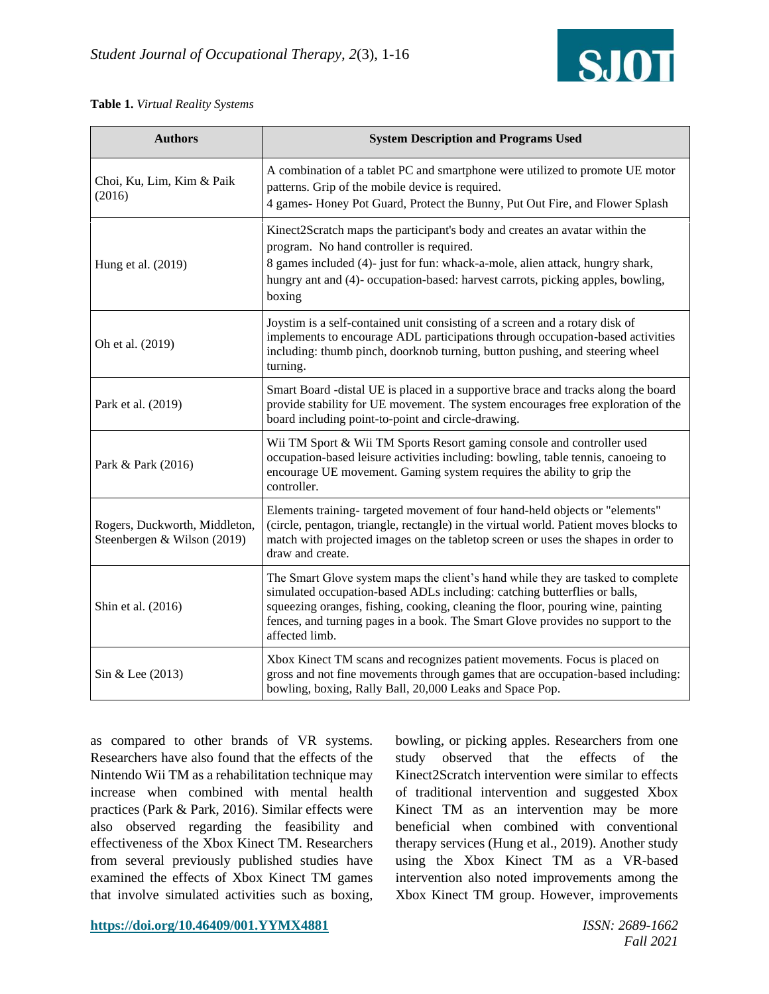

#### **Table 1.** *Virtual Reality Systems*

| <b>Authors</b>                                               | <b>System Description and Programs Used</b>                                                                                                                                                                                                                                                                                                          |  |  |  |  |
|--------------------------------------------------------------|------------------------------------------------------------------------------------------------------------------------------------------------------------------------------------------------------------------------------------------------------------------------------------------------------------------------------------------------------|--|--|--|--|
| Choi, Ku, Lim, Kim & Paik<br>(2016)                          | A combination of a tablet PC and smartphone were utilized to promote UE motor<br>patterns. Grip of the mobile device is required.<br>4 games- Honey Pot Guard, Protect the Bunny, Put Out Fire, and Flower Splash                                                                                                                                    |  |  |  |  |
| Hung et al. (2019)                                           | Kinect2Scratch maps the participant's body and creates an avatar within the<br>program. No hand controller is required.<br>8 games included (4)- just for fun: whack-a-mole, alien attack, hungry shark,<br>hungry ant and (4)- occupation-based: harvest carrots, picking apples, bowling,<br>boxing                                                |  |  |  |  |
| Oh et al. (2019)                                             | Joystim is a self-contained unit consisting of a screen and a rotary disk of<br>implements to encourage ADL participations through occupation-based activities<br>including: thumb pinch, doorknob turning, button pushing, and steering wheel<br>turning.                                                                                           |  |  |  |  |
| Park et al. (2019)                                           | Smart Board -distal UE is placed in a supportive brace and tracks along the board<br>provide stability for UE movement. The system encourages free exploration of the<br>board including point-to-point and circle-drawing.                                                                                                                          |  |  |  |  |
| Park & Park (2016)                                           | Wii TM Sport & Wii TM Sports Resort gaming console and controller used<br>occupation-based leisure activities including: bowling, table tennis, canoeing to<br>encourage UE movement. Gaming system requires the ability to grip the<br>controller.                                                                                                  |  |  |  |  |
| Rogers, Duckworth, Middleton,<br>Steenbergen & Wilson (2019) | Elements training- targeted movement of four hand-held objects or "elements"<br>(circle, pentagon, triangle, rectangle) in the virtual world. Patient moves blocks to<br>match with projected images on the tabletop screen or uses the shapes in order to<br>draw and create.                                                                       |  |  |  |  |
| Shin et al. (2016)                                           | The Smart Glove system maps the client's hand while they are tasked to complete<br>simulated occupation-based ADLs including: catching butterflies or balls,<br>squeezing oranges, fishing, cooking, cleaning the floor, pouring wine, painting<br>fences, and turning pages in a book. The Smart Glove provides no support to the<br>affected limb. |  |  |  |  |
| Sin & Lee (2013)                                             | Xbox Kinect TM scans and recognizes patient movements. Focus is placed on<br>gross and not fine movements through games that are occupation-based including:<br>bowling, boxing, Rally Ball, 20,000 Leaks and Space Pop.                                                                                                                             |  |  |  |  |

as compared to other brands of VR systems. Researchers have also found that the effects of the Nintendo Wii TM as a rehabilitation technique may increase when combined with mental health practices (Park & Park, 2016). Similar effects were also observed regarding the feasibility and effectiveness of the Xbox Kinect TM. Researchers from several previously published studies have examined the effects of Xbox Kinect TM games that involve simulated activities such as boxing, bowling, or picking apples. Researchers from one study observed that the effects of the Kinect2Scratch intervention were similar to effects of traditional intervention and suggested Xbox Kinect TM as an intervention may be more beneficial when combined with conventional therapy services (Hung et al., 2019). Another study using the Xbox Kinect TM as a VR-based intervention also noted improvements among the Xbox Kinect TM group. However, improvements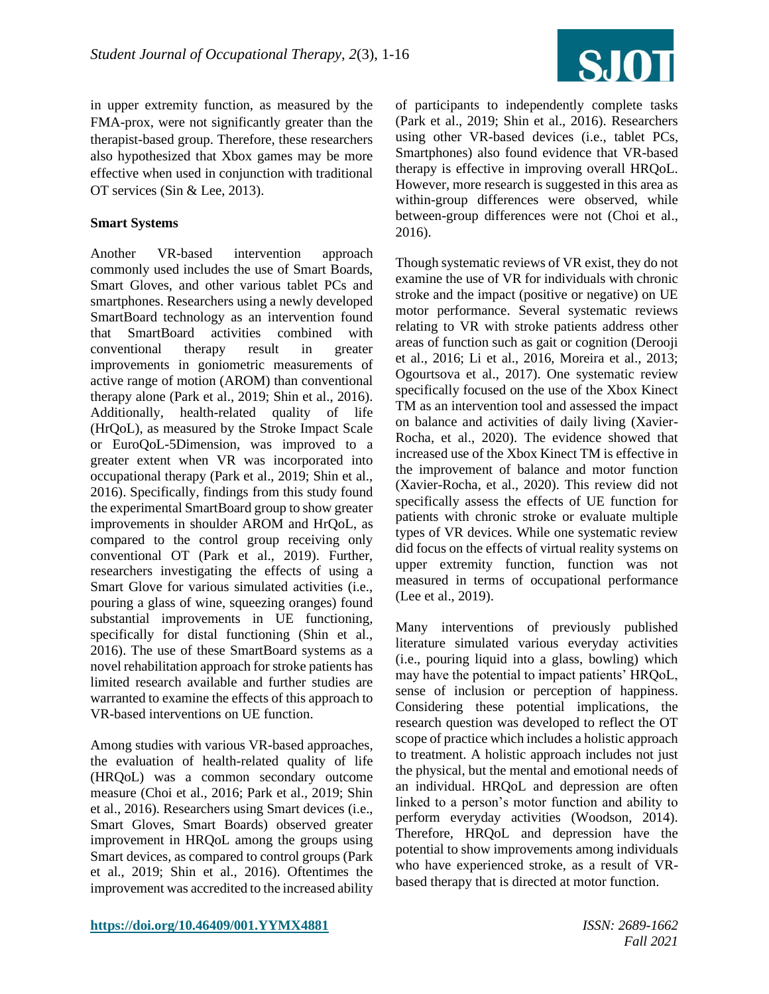

in upper extremity function, as measured by the FMA-prox, were not significantly greater than the therapist-based group. Therefore, these researchers also hypothesized that Xbox games may be more effective when used in conjunction with traditional OT services (Sin & Lee, 2013).

#### **Smart Systems**

Another VR-based intervention approach commonly used includes the use of Smart Boards, Smart Gloves, and other various tablet PCs and smartphones. Researchers using a newly developed SmartBoard technology as an intervention found that SmartBoard activities combined with conventional therapy result in greater improvements in goniometric measurements of active range of motion (AROM) than conventional therapy alone (Park et al., 2019; Shin et al., 2016). Additionally, health-related quality of life (HrQoL), as measured by the Stroke Impact Scale or EuroQoL-5Dimension, was improved to a greater extent when VR was incorporated into occupational therapy (Park et al., 2019; Shin et al., 2016). Specifically, findings from this study found the experimental SmartBoard group to show greater improvements in shoulder AROM and HrQoL, as compared to the control group receiving only conventional OT (Park et al., 2019). Further, researchers investigating the effects of using a Smart Glove for various simulated activities (i.e., pouring a glass of wine, squeezing oranges) found substantial improvements in UE functioning, specifically for distal functioning (Shin et al., 2016). The use of these SmartBoard systems as a novel rehabilitation approach for stroke patients has limited research available and further studies are warranted to examine the effects of this approach to VR-based interventions on UE function.

Among studies with various VR-based approaches, the evaluation of health-related quality of life (HRQoL) was a common secondary outcome measure (Choi et al., 2016; Park et al., 2019; Shin et al., 2016). Researchers using Smart devices (i.e., Smart Gloves, Smart Boards) observed greater improvement in HRQoL among the groups using Smart devices, as compared to control groups (Park et al., 2019; Shin et al., 2016). Oftentimes the improvement was accredited to the increased ability of participants to independently complete tasks (Park et al., 2019; Shin et al., 2016). Researchers using other VR-based devices (i.e., tablet PCs, Smartphones) also found evidence that VR-based therapy is effective in improving overall HRQoL. However, more research is suggested in this area as within-group differences were observed, while between-group differences were not (Choi et al., 2016).

Though systematic reviews of VR exist, they do not examine the use of VR for individuals with chronic stroke and the impact (positive or negative) on UE motor performance. Several systematic reviews relating to VR with stroke patients address other areas of function such as gait or cognition (Derooji et al., 2016; Li et al., 2016, Moreira et al., 2013; Ogourtsova et al., 2017). One systematic review specifically focused on the use of the Xbox Kinect TM as an intervention tool and assessed the impact on balance and activities of daily living (Xavier-Rocha, et al., 2020). The evidence showed that increased use of the Xbox Kinect TM is effective in the improvement of balance and motor function (Xavier-Rocha, et al., 2020). This review did not specifically assess the effects of UE function for patients with chronic stroke or evaluate multiple types of VR devices. While one systematic review did focus on the effects of virtual reality systems on upper extremity function, function was not measured in terms of occupational performance (Lee et al., 2019).

Many interventions of previously published literature simulated various everyday activities (i.e., pouring liquid into a glass, bowling) which may have the potential to impact patients' HRQoL, sense of inclusion or perception of happiness. Considering these potential implications, the research question was developed to reflect the OT scope of practice which includes a holistic approach to treatment. A holistic approach includes not just the physical, but the mental and emotional needs of an individual. HRQoL and depression are often linked to a person's motor function and ability to perform everyday activities (Woodson, 2014). Therefore, HRQoL and depression have the potential to show improvements among individuals who have experienced stroke, as a result of VRbased therapy that is directed at motor function.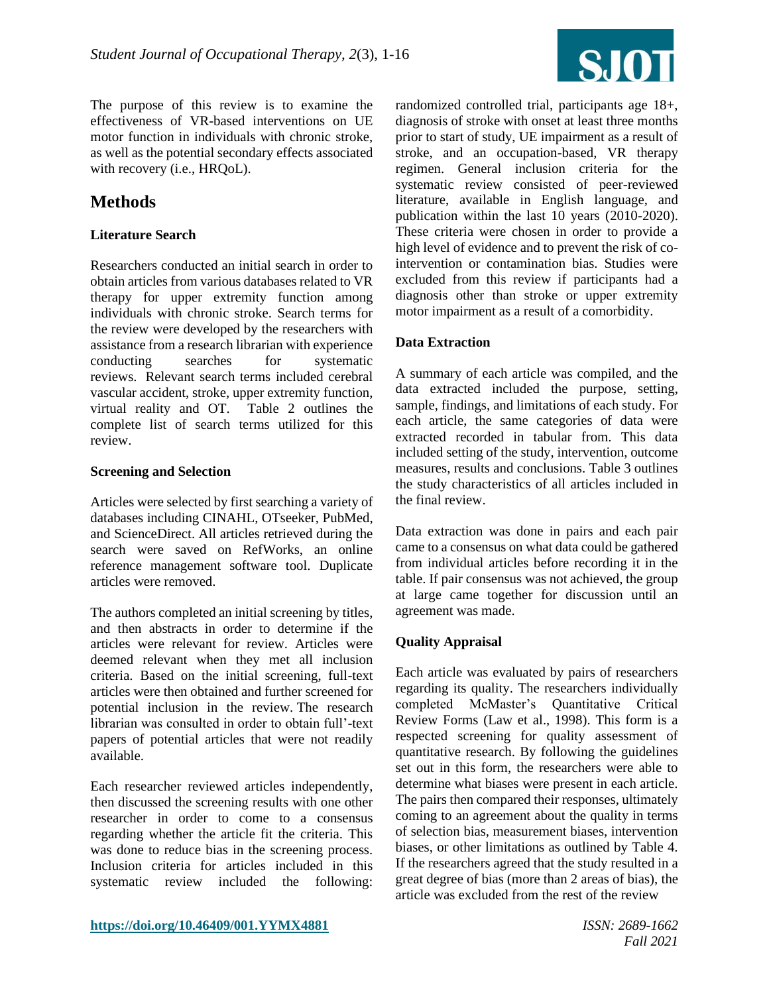

The purpose of this review is to examine the effectiveness of VR-based interventions on UE motor function in individuals with chronic stroke, as well as the potential secondary effects associated with recovery (i.e., HRQoL).

## **Methods**

#### **Literature Search**

Researchers conducted an initial search in order to obtain articles from various databases related to VR therapy for upper extremity function among individuals with chronic stroke. Search terms for the review were developed by the researchers with assistance from a research librarian with experience conducting searches for systematic reviews. Relevant search terms included cerebral vascular accident, stroke, upper extremity function, virtual reality and OT. Table 2 outlines the complete list of search terms utilized for this review.

#### **Screening and Selection**

Articles were selected by first searching a variety of databases including CINAHL, OTseeker, PubMed, and ScienceDirect. All articles retrieved during the search were saved on RefWorks, an online reference management software tool. Duplicate articles were removed.

The authors completed an initial screening by titles, and then abstracts in order to determine if the articles were relevant for review. Articles were deemed relevant when they met all inclusion criteria. Based on the initial screening, full-text articles were then obtained and further screened for potential inclusion in the review. The research librarian was consulted in order to obtain full'-text papers of potential articles that were not readily available.

Each researcher reviewed articles independently, then discussed the screening results with one other researcher in order to come to a consensus regarding whether the article fit the criteria. This was done to reduce bias in the screening process. Inclusion criteria for articles included in this systematic review included the following:

randomized controlled trial, participants age 18+, diagnosis of stroke with onset at least three months prior to start of study, UE impairment as a result of stroke, and an occupation-based, VR therapy regimen. General inclusion criteria for the systematic review consisted of peer-reviewed literature, available in English language, and publication within the last 10 years (2010-2020). These criteria were chosen in order to provide a high level of evidence and to prevent the risk of cointervention or contamination bias. Studies were excluded from this review if participants had a diagnosis other than stroke or upper extremity motor impairment as a result of a comorbidity.

#### **Data Extraction**

A summary of each article was compiled, and the data extracted included the purpose, setting, sample, findings, and limitations of each study. For each article, the same categories of data were extracted recorded in tabular from. This data included setting of the study, intervention, outcome measures, results and conclusions. Table 3 outlines the study characteristics of all articles included in the final review.

Data extraction was done in pairs and each pair came to a consensus on what data could be gathered from individual articles before recording it in the table. If pair consensus was not achieved, the group at large came together for discussion until an agreement was made.

#### **Quality Appraisal**

Each article was evaluated by pairs of researchers regarding its quality. The researchers individually completed McMaster's Quantitative Critical Review Forms (Law et al., 1998). This form is a respected screening for quality assessment of quantitative research. By following the guidelines set out in this form, the researchers were able to determine what biases were present in each article. The pairs then compared their responses, ultimately coming to an agreement about the quality in terms of selection bias, measurement biases, intervention biases, or other limitations as outlined by Table 4. If the researchers agreed that the study resulted in a great degree of bias (more than 2 areas of bias), the article was excluded from the rest of the review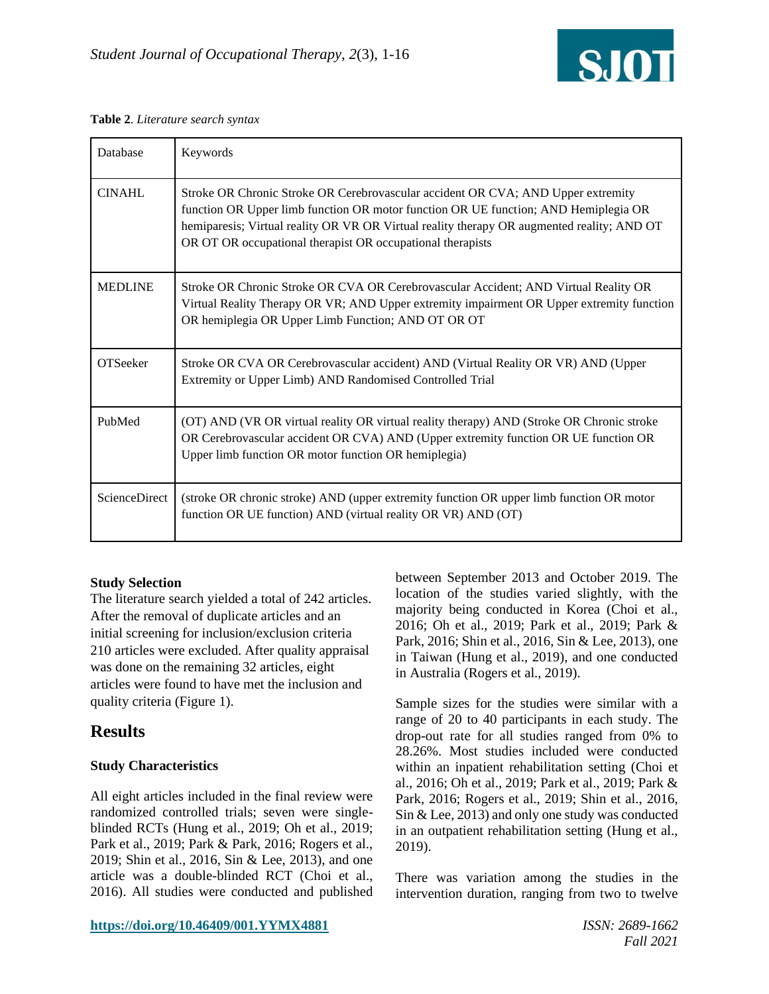

|  | Table 2. Literature search syntax |  |  |
|--|-----------------------------------|--|--|
|--|-----------------------------------|--|--|

| Database       | Keywords                                                                                                                                                                                                                                                                                                                            |
|----------------|-------------------------------------------------------------------------------------------------------------------------------------------------------------------------------------------------------------------------------------------------------------------------------------------------------------------------------------|
| <b>CINAHL</b>  | Stroke OR Chronic Stroke OR Cerebrovascular accident OR CVA; AND Upper extremity<br>function OR Upper limb function OR motor function OR UE function; AND Hemiplegia OR<br>hemiparesis; Virtual reality OR VR OR Virtual reality therapy OR augmented reality; AND OT<br>OR OT OR occupational therapist OR occupational therapists |
| <b>MEDLINE</b> | Stroke OR Chronic Stroke OR CVA OR Cerebrovascular Accident; AND Virtual Reality OR<br>Virtual Reality Therapy OR VR; AND Upper extremity impairment OR Upper extremity function<br>OR hemiplegia OR Upper Limb Function; AND OT OR OT                                                                                              |
| OTSeeker       | Stroke OR CVA OR Cerebrovascular accident) AND (Virtual Reality OR VR) AND (Upper<br>Extremity or Upper Limb) AND Randomised Controlled Trial                                                                                                                                                                                       |
| PubMed         | (OT) AND (VR OR virtual reality OR virtual reality therapy) AND (Stroke OR Chronic stroke<br>OR Cerebrovascular accident OR CVA) AND (Upper extremity function OR UE function OR<br>Upper limb function OR motor function OR hemiplegia)                                                                                            |
| ScienceDirect  | (stroke OR chronic stroke) AND (upper extremity function OR upper limb function OR motor<br>function OR UE function) AND (virtual reality OR VR) AND (OT)                                                                                                                                                                           |

#### **Study Selection**

The literature search yielded a total of 242 articles. After the removal of duplicate articles and an initial screening for inclusion/exclusion criteria 210 articles were excluded. After quality appraisal was done on the remaining 32 articles, eight articles were found to have met the inclusion and quality criteria (Figure 1).

## **Results**

#### **Study Characteristics**

All eight articles included in the final review were randomized controlled trials; seven were singleblinded RCTs (Hung et al., 2019; Oh et al., 2019; Park et al., 2019; Park & Park, 2016; Rogers et al., 2019; Shin et al., 2016, Sin & Lee, 2013), and one article was a double-blinded RCT (Choi et al., 2016). All studies were conducted and published

between September 2013 and October 2019. The location of the studies varied slightly, with the majority being conducted in Korea (Choi et al., 2016; Oh et al., 2019; Park et al., 2019; Park & Park, 2016; Shin et al., 2016, Sin & Lee, 2013), one in Taiwan (Hung et al., 2019), and one conducted in Australia (Rogers et al., 2019).

Sample sizes for the studies were similar with a range of 20 to 40 participants in each study. The drop-out rate for all studies ranged from 0% to 28.26%. Most studies included were conducted within an inpatient rehabilitation setting (Choi et al., 2016; Oh et al., 2019; Park et al., 2019; Park & Park, 2016; Rogers et al., 2019; Shin et al., 2016, Sin & Lee, 2013) and only one study was conducted in an outpatient rehabilitation setting (Hung et al., 2019).

There was variation among the studies in the intervention duration, ranging from two to twelve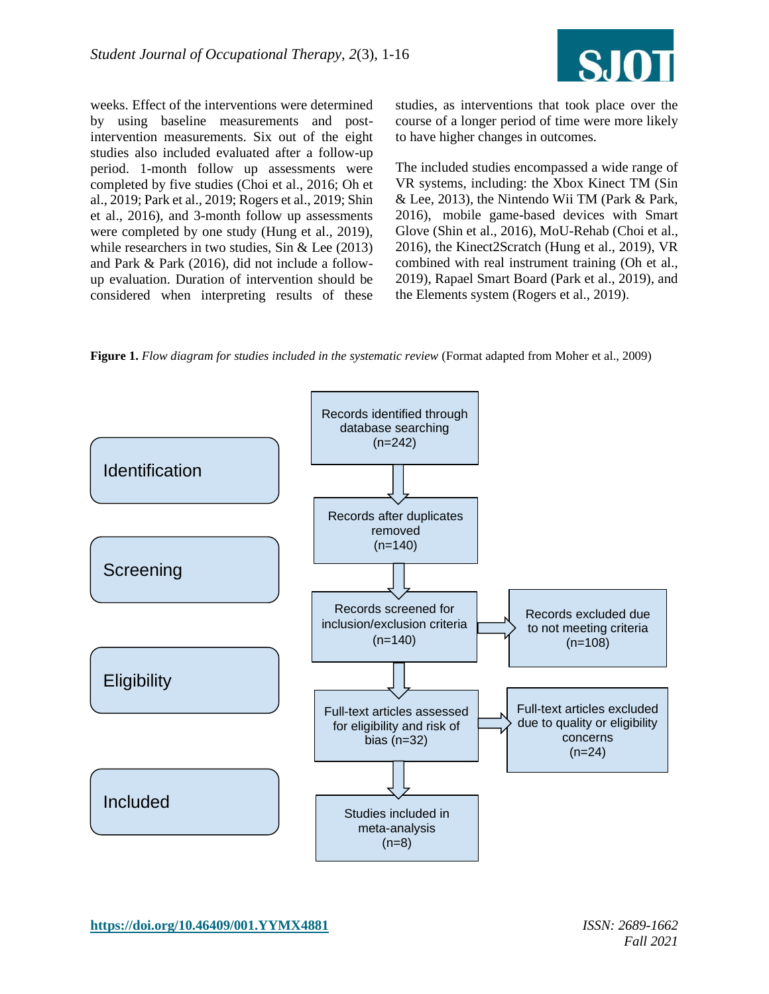

weeks. Effect of the interventions were determined by using baseline measurements and postintervention measurements. Six out of the eight studies also included evaluated after a follow-up period. 1-month follow up assessments were completed by five studies (Choi et al., 2016; Oh et al., 2019; Park et al., 2019; Rogers et al., 2019; Shin et al., 2016), and 3-month follow up assessments were completed by one study (Hung et al., 2019), while researchers in two studies, Sin & Lee (2013) and Park & Park (2016), did not include a followup evaluation. Duration of intervention should be considered when interpreting results of these

studies, as interventions that took place over the course of a longer period of time were more likely to have higher changes in outcomes.

The included studies encompassed a wide range of VR systems, including: the Xbox Kinect TM (Sin & Lee, 2013), the Nintendo Wii TM (Park & Park, 2016), mobile game-based devices with Smart Glove (Shin et al., 2016), MoU-Rehab (Choi et al., 2016), the Kinect2Scratch (Hung et al., 2019), VR combined with real instrument training (Oh et al., 2019), Rapael Smart Board (Park et al., 2019), and the Elements system (Rogers et al., 2019).

**Figure 1.** *Flow diagram for studies included in the systematic review* (Format adapted from Moher et al., 2009)

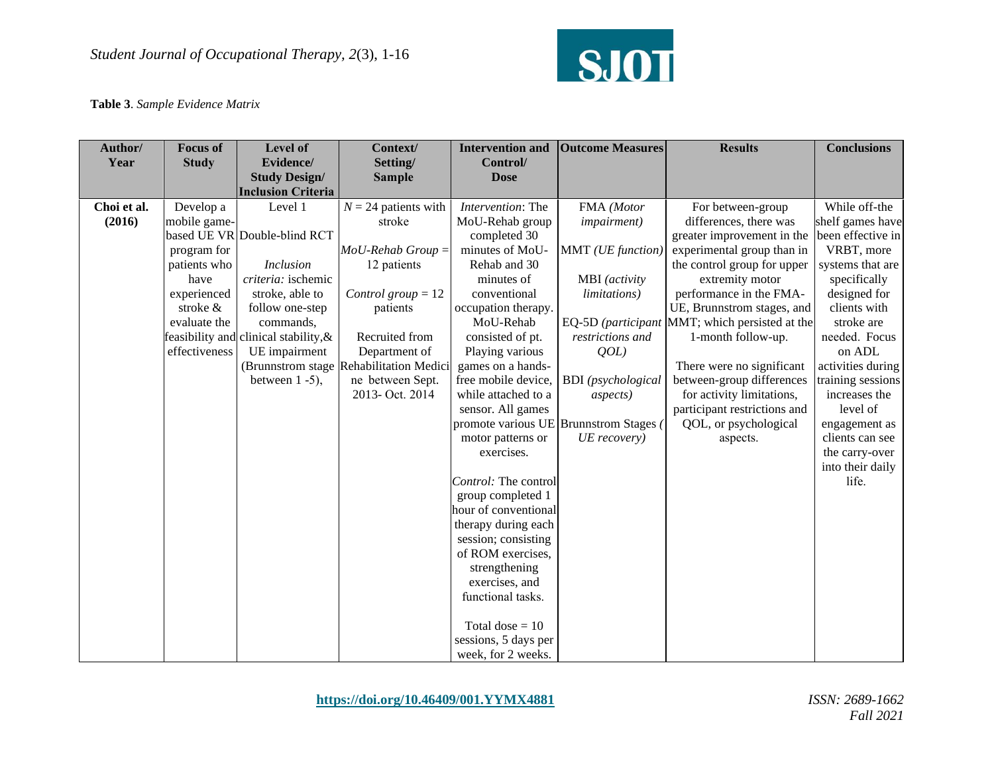

#### **Table 3**. *Sample Evidence Matrix*

| Author/<br>Year | <b>Focus of</b><br><b>Study</b> | <b>Level of</b><br>Evidence/                      | Context/<br>Setting/   | <b>Intervention and</b><br>Control/       | <b>Outcome Measures</b>                | <b>Results</b>                                 | <b>Conclusions</b> |
|-----------------|---------------------------------|---------------------------------------------------|------------------------|-------------------------------------------|----------------------------------------|------------------------------------------------|--------------------|
|                 |                                 | <b>Study Design/</b><br><b>Inclusion Criteria</b> | <b>Sample</b>          | <b>Dose</b>                               |                                        |                                                |                    |
| Choi et al.     | Develop a                       | Level 1                                           | $N = 24$ patients with | Intervention: The                         | FMA (Motor                             | For between-group                              | While off-the      |
| (2016)          | mobile game-                    |                                                   | stroke                 | MoU-Rehab group                           | <i>impairment</i> )                    | differences, there was                         | shelf games have   |
|                 |                                 | based UE VR Double-blind RCT                      |                        | completed 30                              |                                        | greater improvement in the                     | been effective in  |
|                 | program for                     |                                                   | $MoU$ -Rehab Group $=$ | minutes of MoU-                           | MMT (UE function)                      | experimental group than in                     | VRBT, more         |
|                 | patients who                    | <b>Inclusion</b>                                  | 12 patients            | Rehab and 30                              |                                        | the control group for upper                    | systems that are   |
|                 | have                            | <i>criteria:</i> ischemic                         |                        | minutes of                                | MBI (activity                          | extremity motor                                | specifically       |
|                 | experienced                     | stroke, able to                                   | Control group $= 12$   | conventional                              | <i>limitations</i> )                   | performance in the FMA-                        | designed for       |
|                 | stroke &                        | follow one-step                                   | patients               | occupation therapy.                       |                                        | UE, Brunnstrom stages, and                     | clients with       |
|                 | evaluate the                    | commands,                                         |                        | MoU-Rehab                                 |                                        | EQ-5D (participant MMT; which persisted at the | stroke are         |
|                 |                                 | feasibility and clinical stability, &             | Recruited from         | consisted of pt.                          | restrictions and                       | 1-month follow-up.                             | needed. Focus      |
|                 | effectiveness                   | UE impairment                                     | Department of          | Playing various                           | QOL                                    |                                                | on ADL             |
|                 |                                 | (Brunnstrom stage)                                | Rehabilitation Medici  | games on a hands-                         |                                        | There were no significant                      | activities during  |
|                 |                                 | between $1 - 5$ ),                                | ne between Sept.       | free mobile device,                       | <b>BDI</b> (psychological              | between-group differences                      | training sessions  |
|                 |                                 |                                                   | 2013- Oct. 2014        | while attached to a                       | <i>aspects</i> )                       | for activity limitations,                      | increases the      |
|                 |                                 |                                                   |                        | sensor. All games                         |                                        | participant restrictions and                   | level of           |
|                 |                                 |                                                   |                        |                                           | promote various UE Brunnstrom Stages ( | QOL, or psychological                          | engagement as      |
|                 |                                 |                                                   |                        | motor patterns or                         | UE recovery)                           | aspects.                                       | clients can see    |
|                 |                                 |                                                   |                        | exercises.                                |                                        |                                                | the carry-over     |
|                 |                                 |                                                   |                        |                                           |                                        |                                                | into their daily   |
|                 |                                 |                                                   |                        | Control: The control                      |                                        |                                                | life.              |
|                 |                                 |                                                   |                        | group completed 1<br>hour of conventional |                                        |                                                |                    |
|                 |                                 |                                                   |                        | therapy during each                       |                                        |                                                |                    |
|                 |                                 |                                                   |                        | session; consisting                       |                                        |                                                |                    |
|                 |                                 |                                                   |                        | of ROM exercises,                         |                                        |                                                |                    |
|                 |                                 |                                                   |                        | strengthening                             |                                        |                                                |                    |
|                 |                                 |                                                   |                        | exercises, and                            |                                        |                                                |                    |
|                 |                                 |                                                   |                        | functional tasks.                         |                                        |                                                |                    |
|                 |                                 |                                                   |                        |                                           |                                        |                                                |                    |
|                 |                                 |                                                   |                        | Total dose $= 10$                         |                                        |                                                |                    |
|                 |                                 |                                                   |                        | sessions, 5 days per                      |                                        |                                                |                    |
|                 |                                 |                                                   |                        | week, for 2 weeks.                        |                                        |                                                |                    |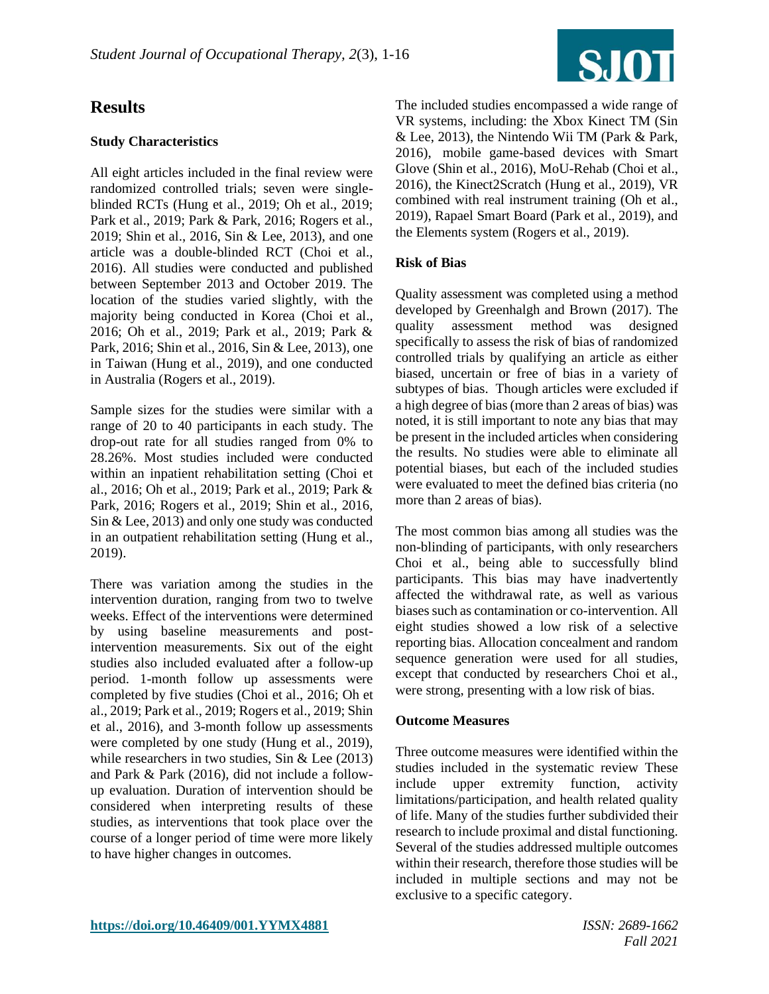## **Results**

#### **Study Characteristics**

All eight articles included in the final review were randomized controlled trials; seven were singleblinded RCTs (Hung et al., 2019; Oh et al., 2019; Park et al., 2019; Park & Park, 2016; Rogers et al., 2019; Shin et al., 2016, Sin & Lee, 2013), and one article was a double-blinded RCT (Choi et al., 2016). All studies were conducted and published between September 2013 and October 2019. The location of the studies varied slightly, with the majority being conducted in Korea (Choi et al., 2016; Oh et al., 2019; Park et al., 2019; Park & Park, 2016; Shin et al., 2016, Sin & Lee, 2013), one in Taiwan (Hung et al., 2019), and one conducted in Australia (Rogers et al., 2019).

Sample sizes for the studies were similar with a range of 20 to 40 participants in each study. The drop-out rate for all studies ranged from 0% to 28.26%. Most studies included were conducted within an inpatient rehabilitation setting (Choi et al., 2016; Oh et al., 2019; Park et al., 2019; Park & Park, 2016; Rogers et al., 2019; Shin et al., 2016, Sin & Lee, 2013) and only one study was conducted in an outpatient rehabilitation setting (Hung et al., 2019).

There was variation among the studies in the intervention duration, ranging from two to twelve weeks. Effect of the interventions were determined by using baseline measurements and postintervention measurements. Six out of the eight studies also included evaluated after a follow-up period. 1-month follow up assessments were completed by five studies (Choi et al., 2016; Oh et al., 2019; Park et al., 2019; Rogers et al., 2019; Shin et al., 2016), and 3-month follow up assessments were completed by one study (Hung et al., 2019), while researchers in two studies, Sin & Lee (2013) and Park & Park (2016), did not include a followup evaluation. Duration of intervention should be considered when interpreting results of these studies, as interventions that took place over the course of a longer period of time were more likely to have higher changes in outcomes.



The included studies encompassed a wide range of VR systems, including: the Xbox Kinect TM (Sin & Lee, 2013), the Nintendo Wii TM (Park & Park, 2016), mobile game-based devices with Smart Glove (Shin et al., 2016), MoU-Rehab (Choi et al., 2016), the Kinect2Scratch (Hung et al., 2019), VR combined with real instrument training (Oh et al., 2019), Rapael Smart Board (Park et al., 2019), and the Elements system (Rogers et al., 2019).

#### **Risk of Bias**

Quality assessment was completed using a method developed by Greenhalgh and Brown (2017). The quality assessment method was designed specifically to assess the risk of bias of randomized controlled trials by qualifying an article as either biased, uncertain or free of bias in a variety of subtypes of bias. Though articles were excluded if a high degree of bias (more than 2 areas of bias) was noted, it is still important to note any bias that may be present in the included articles when considering the results. No studies were able to eliminate all potential biases, but each of the included studies were evaluated to meet the defined bias criteria (no more than 2 areas of bias).

The most common bias among all studies was the non-blinding of participants, with only researchers Choi et al., being able to successfully blind participants. This bias may have inadvertently affected the withdrawal rate, as well as various biases such as contamination or co-intervention. All eight studies showed a low risk of a selective reporting bias. Allocation concealment and random sequence generation were used for all studies, except that conducted by researchers Choi et al., were strong, presenting with a low risk of bias.

#### **Outcome Measures**

Three outcome measures were identified within the studies included in the systematic review These include upper extremity function, activity limitations/participation, and health related quality of life. Many of the studies further subdivided their research to include proximal and distal functioning. Several of the studies addressed multiple outcomes within their research, therefore those studies will be included in multiple sections and may not be exclusive to a specific category.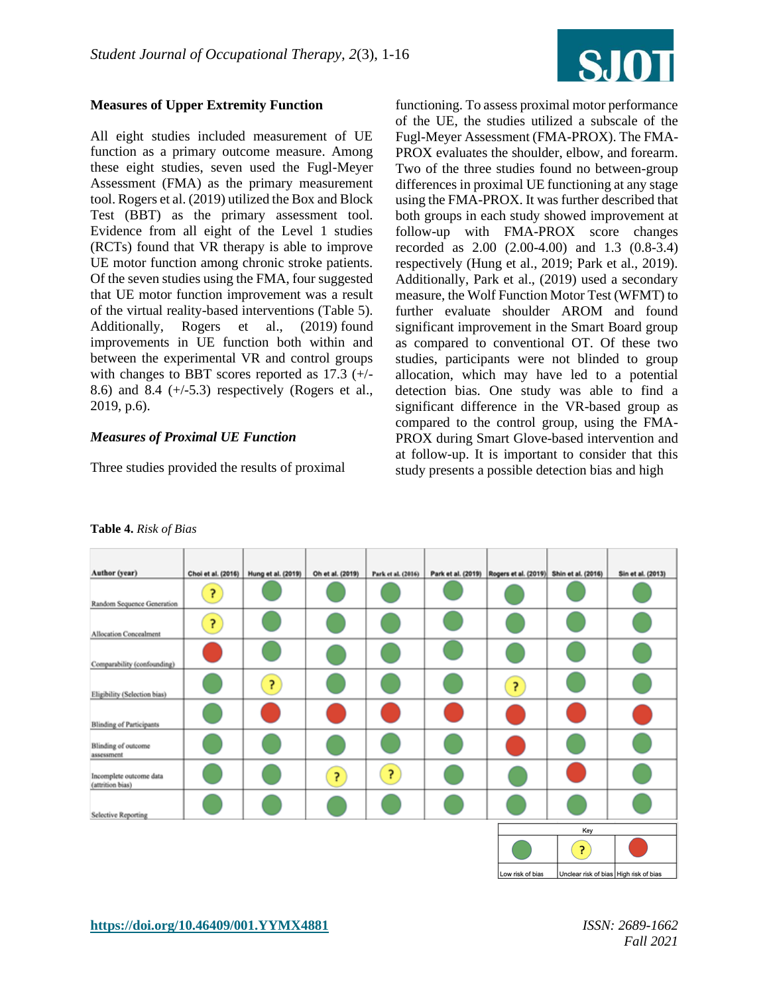

#### **Measures of Upper Extremity Function**

All eight studies included measurement of UE function as a primary outcome measure. Among these eight studies, seven used the Fugl-Meyer Assessment (FMA) as the primary measurement tool. Rogers et al. (2019) utilized the Box and Block Test (BBT) as the primary assessment tool. Evidence from all eight of the Level 1 studies (RCTs) found that VR therapy is able to improve UE motor function among chronic stroke patients. Of the seven studies using the FMA, four suggested that UE motor function improvement was a result of the virtual reality-based interventions (Table 5). Additionally, Rogers et al., (2019) found improvements in UE function both within and between the experimental VR and control groups with changes to BBT scores reported as 17.3 (+/- 8.6) and 8.4  $(+/-5.3)$  respectively (Rogers et al., 2019, p.6).

#### *Measures of Proximal UE Function*

Three studies provided the results of proximal

functioning. To assess proximal motor performance of the UE, the studies utilized a subscale of the Fugl-Meyer Assessment (FMA-PROX). The FMA-PROX evaluates the shoulder, elbow, and forearm. Two of the three studies found no between-group differences in proximal UE functioning at any stage using the FMA-PROX. It was further described that both groups in each study showed improvement at follow-up with FMA-PROX score changes recorded as 2.00 (2.00-4.00) and 1.3 (0.8-3.4) respectively (Hung et al., 2019; Park et al., 2019). Additionally, Park et al., (2019) used a secondary measure, the Wolf Function Motor Test (WFMT) to further evaluate shoulder AROM and found significant improvement in the Smart Board group as compared to conventional OT. Of these two studies, participants were not blinded to group allocation, which may have led to a potential detection bias. One study was able to find a significant difference in the VR-based group as compared to the control group, using the FMA-PROX during Smart Glove-based intervention and at follow-up. It is important to consider that this study presents a possible detection bias and high

| Author (year)                               |    | Choi et al. (2016) Hung et al. (2019) | Oh et al. (2019) | Park et al. (2016) | Park et al. (2019) Rogers et al. (2019) Shin et al. (2016) |     | Sin et al. (2013)                      |
|---------------------------------------------|----|---------------------------------------|------------------|--------------------|------------------------------------------------------------|-----|----------------------------------------|
| Random Sequence Generation                  | P, |                                       |                  |                    |                                                            |     |                                        |
| <b>Allocation Concealment</b>               | P, |                                       |                  |                    |                                                            |     |                                        |
| Comparability (confounding)                 |    |                                       |                  |                    |                                                            |     |                                        |
| Eligibility (Selection bias)                |    | ş.                                    |                  |                    | P                                                          |     |                                        |
| <b>Blinding of Participants</b>             |    |                                       |                  |                    |                                                            |     |                                        |
| Blinding of outcome<br>assessment           |    |                                       |                  |                    |                                                            |     |                                        |
| Incomplete outcome data<br>(attrition bias) |    |                                       | P.               | $\overline{z}$     |                                                            |     |                                        |
| <b>Selective Reporting</b>                  |    |                                       |                  |                    |                                                            |     |                                        |
|                                             |    |                                       |                  |                    |                                                            | Key |                                        |
|                                             |    |                                       |                  |                    |                                                            | P   |                                        |
|                                             |    |                                       |                  |                    | Low risk of bias                                           |     | Unclear risk of bias High risk of bias |

#### **Table 4.** *Risk of Bias*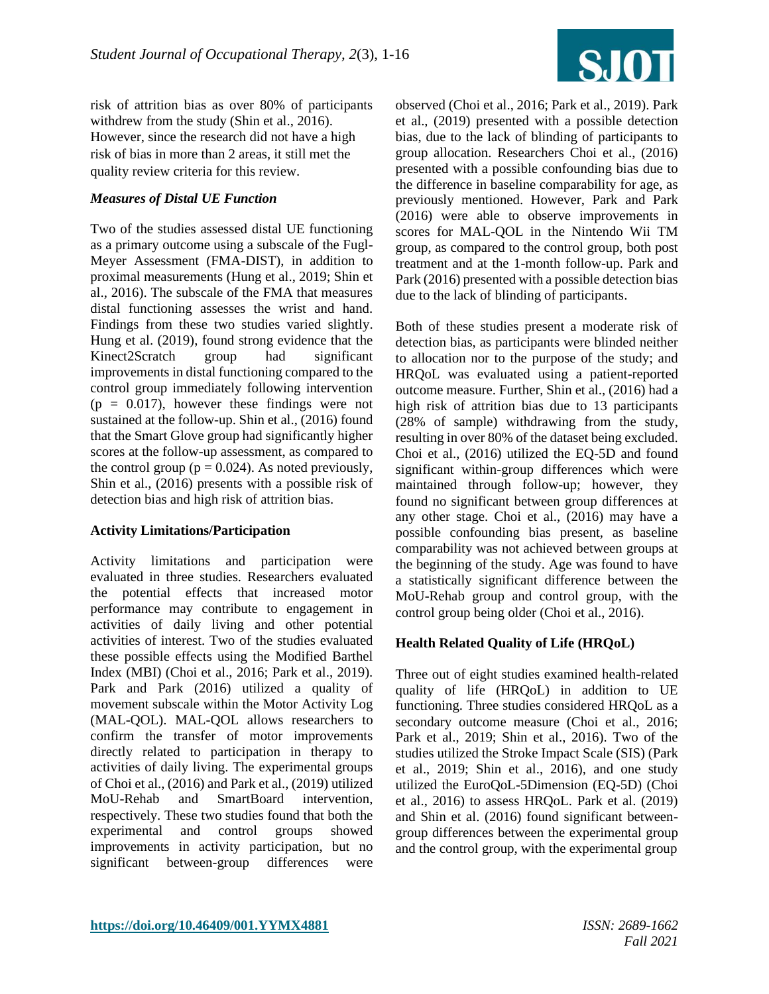

risk of attrition bias as over 80% of participants withdrew from the study (Shin et al., 2016). However, since the research did not have a high risk of bias in more than 2 areas, it still met the quality review criteria for this review.

#### *Measures of Distal UE Function*

Two of the studies assessed distal UE functioning as a primary outcome using a subscale of the Fugl-Meyer Assessment (FMA-DIST), in addition to proximal measurements (Hung et al., 2019; Shin et al., 2016). The subscale of the FMA that measures distal functioning assesses the wrist and hand. Findings from these two studies varied slightly. Hung et al. (2019), found strong evidence that the Kinect2Scratch group had significant improvements in distal functioning compared to the control group immediately following intervention  $(p = 0.017)$ , however these findings were not sustained at the follow-up. Shin et al., (2016) found that the Smart Glove group had significantly higher scores at the follow-up assessment, as compared to the control group ( $p = 0.024$ ). As noted previously, Shin et al., (2016) presents with a possible risk of detection bias and high risk of attrition bias.

#### **Activity Limitations/Participation**

Activity limitations and participation were evaluated in three studies. Researchers evaluated the potential effects that increased motor performance may contribute to engagement in activities of daily living and other potential activities of interest. Two of the studies evaluated these possible effects using the Modified Barthel Index (MBI) (Choi et al., 2016; Park et al., 2019). Park and Park (2016) utilized a quality of movement subscale within the Motor Activity Log (MAL-QOL). MAL-QOL allows researchers to confirm the transfer of motor improvements directly related to participation in therapy to activities of daily living. The experimental groups of Choi et al., (2016) and Park et al., (2019) utilized MoU-Rehab and SmartBoard intervention, respectively. These two studies found that both the experimental and control groups showed improvements in activity participation, but no significant between-group differences were

observed (Choi et al., 2016; Park et al., 2019). Park et al., (2019) presented with a possible detection bias, due to the lack of blinding of participants to group allocation. Researchers Choi et al., (2016) presented with a possible confounding bias due to the difference in baseline comparability for age, as previously mentioned. However, Park and Park (2016) were able to observe improvements in scores for MAL-QOL in the Nintendo Wii TM group, as compared to the control group, both post treatment and at the 1-month follow-up. Park and Park (2016) presented with a possible detection bias due to the lack of blinding of participants.

Both of these studies present a moderate risk of detection bias, as participants were blinded neither to allocation nor to the purpose of the study; and HRQoL was evaluated using a patient-reported outcome measure. Further, Shin et al., (2016) had a high risk of attrition bias due to 13 participants (28% of sample) withdrawing from the study, resulting in over 80% of the dataset being excluded. Choi et al., (2016) utilized the EQ-5D and found significant within-group differences which were maintained through follow-up; however, they found no significant between group differences at any other stage. Choi et al., (2016) may have a possible confounding bias present, as baseline comparability was not achieved between groups at the beginning of the study. Age was found to have a statistically significant difference between the MoU-Rehab group and control group, with the control group being older (Choi et al., 2016).

#### **Health Related Quality of Life (HRQoL)**

Three out of eight studies examined health-related quality of life (HRQoL) in addition to UE functioning. Three studies considered HRQoL as a secondary outcome measure (Choi et al., 2016; Park et al., 2019; Shin et al., 2016). Two of the studies utilized the Stroke Impact Scale (SIS) (Park et al., 2019; Shin et al., 2016), and one study utilized the EuroQoL-5Dimension (EQ-5D) (Choi et al., 2016) to assess HRQoL. Park et al. (2019) and Shin et al. (2016) found significant betweengroup differences between the experimental group and the control group, with the experimental group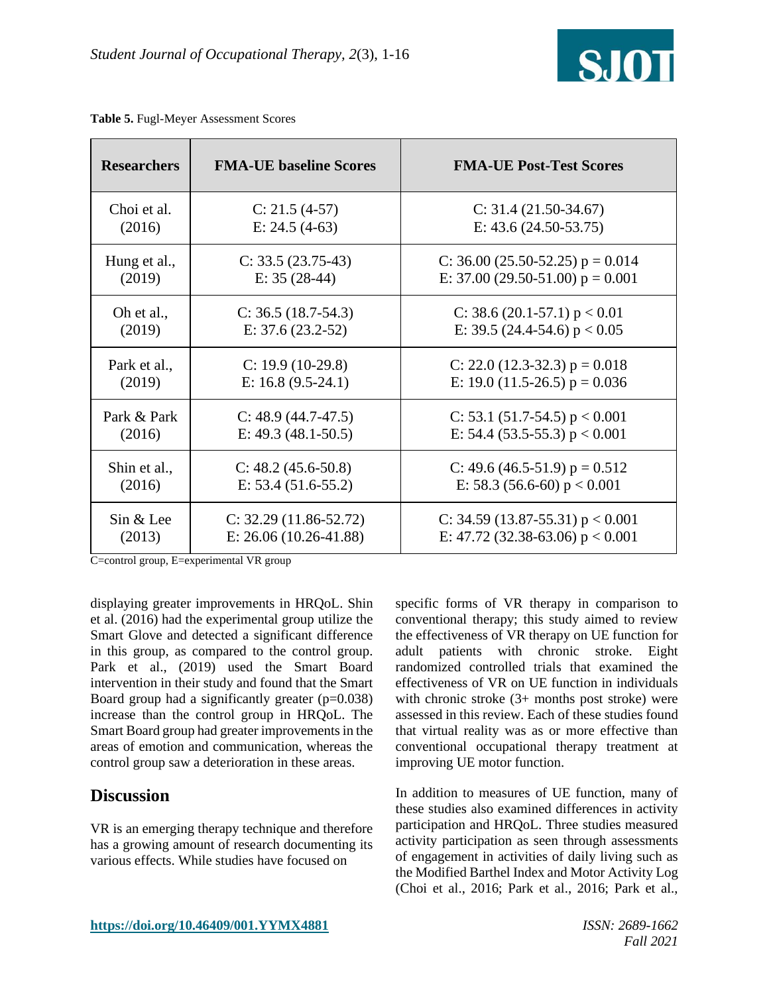

| <b>Researchers</b> | <b>FMA-UE baseline Scores</b> | <b>FMA-UE Post-Test Scores</b>     |
|--------------------|-------------------------------|------------------------------------|
| Choi et al.        | $C: 21.5 (4-57)$              | $C: 31.4 (21.50-34.67)$            |
| (2016)             | E: $24.5(4-63)$               | E: $43.6(24.50-53.75)$             |
| Hung et al.,       | $C: 33.5 (23.75-43)$          | C: 36.00 (25.50-52.25) $p = 0.014$ |
| (2019)             | E: $35(28-44)$                | E: 37.00 (29.50-51.00) $p = 0.001$ |
| Oh et al.,         | $C: 36.5 (18.7-54.3)$         | C: 38.6 (20.1-57.1) $p < 0.01$     |
| (2019)             | E: $37.6(23.2-52)$            | E: 39.5 (24.4-54.6) $p < 0.05$     |
| Park et al.,       | $C: 19.9(10-29.8)$            | C: 22.0 $(12.3-32.3)$ p = 0.018    |
| (2019)             | E: $16.8(9.5-24.1)$           | E: 19.0 (11.5-26.5) $p = 0.036$    |
| Park & Park        | $C: 48.9 (44.7-47.5)$         | C: 53.1 (51.7-54.5) $p < 0.001$    |
| (2016)             | E: $49.3(48.1-50.5)$          | E: 54.4 (53.5-55.3) $p < 0.001$    |
| Shin et al.,       | $C: 48.2 (45.6-50.8)$         | C: 49.6 (46.5-51.9) $p = 0.512$    |
| (2016)             | E: $53.4(51.6-55.2)$          | E: 58.3 (56.6-60) $p < 0.001$      |
| Sin & Lee          | $C: 32.29(11.86-52.72)$       | C: 34.59 (13.87-55.31) $p < 0.001$ |
| (2013)             | E: $26.06(10.26-41.88)$       | E: 47.72 (32.38-63.06) $p < 0.001$ |

|  |  | Table 5. Fugl-Meyer Assessment Scores |
|--|--|---------------------------------------|
|--|--|---------------------------------------|

C=control group, E=experimental VR group

displaying greater improvements in HRQoL. Shin et al. (2016) had the experimental group utilize the Smart Glove and detected a significant difference in this group, as compared to the control group. Park et al., (2019) used the Smart Board intervention in their study and found that the Smart Board group had a significantly greater  $(p=0.038)$ increase than the control group in HRQoL. The Smart Board group had greater improvements in the areas of emotion and communication, whereas the control group saw a deterioration in these areas.

## **Discussion**

VR is an emerging therapy technique and therefore has a growing amount of research documenting its various effects. While studies have focused on

specific forms of VR therapy in comparison to conventional therapy; this study aimed to review the effectiveness of VR therapy on UE function for adult patients with chronic stroke. Eight randomized controlled trials that examined the effectiveness of VR on UE function in individuals with chronic stroke  $(3+$  months post stroke) were assessed in this review. Each of these studies found that virtual reality was as or more effective than conventional occupational therapy treatment at improving UE motor function.

In addition to measures of UE function, many of these studies also examined differences in activity participation and HRQoL. Three studies measured activity participation as seen through assessments of engagement in activities of daily living such as the Modified Barthel Index and Motor Activity Log (Choi et al., 2016; Park et al., 2016; Park et al.,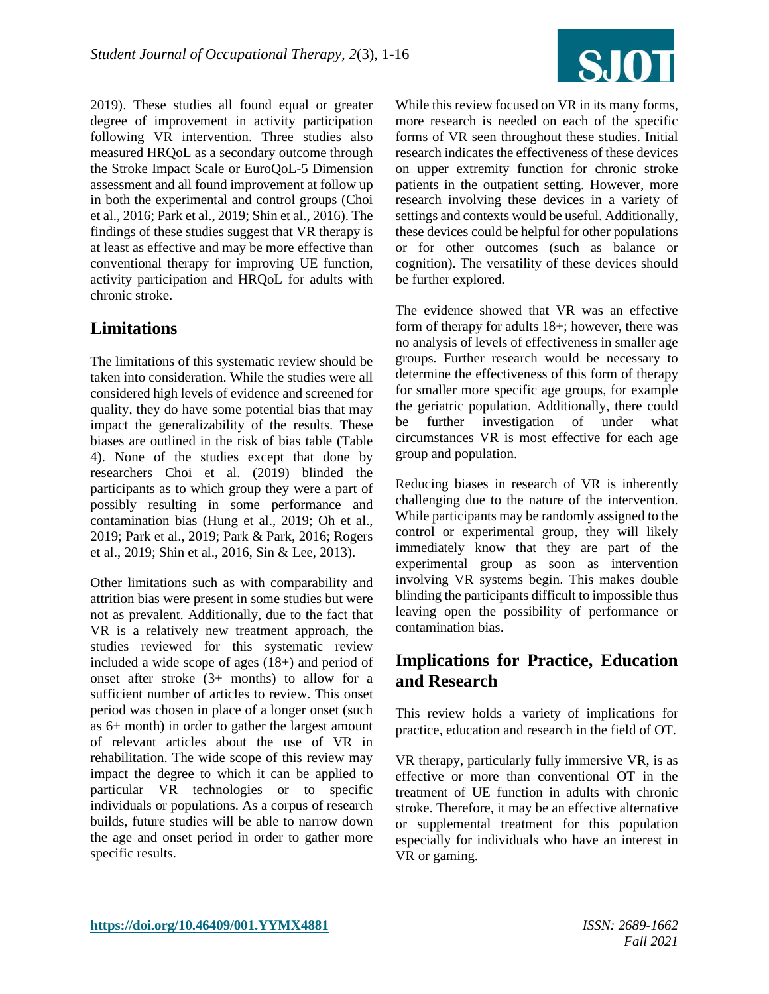

2019). These studies all found equal or greater degree of improvement in activity participation following VR intervention. Three studies also measured HRQoL as a secondary outcome through the Stroke Impact Scale or EuroQoL-5 Dimension assessment and all found improvement at follow up in both the experimental and control groups (Choi et al., 2016; Park et al., 2019; Shin et al., 2016). The findings of these studies suggest that VR therapy is at least as effective and may be more effective than conventional therapy for improving UE function, activity participation and HRQoL for adults with chronic stroke.

## **Limitations**

The limitations of this systematic review should be taken into consideration. While the studies were all considered high levels of evidence and screened for quality, they do have some potential bias that may impact the generalizability of the results. These biases are outlined in the risk of bias table (Table 4). None of the studies except that done by researchers Choi et al. (2019) blinded the participants as to which group they were a part of possibly resulting in some performance and contamination bias (Hung et al., 2019; Oh et al., 2019; Park et al., 2019; Park & Park, 2016; Rogers et al., 2019; Shin et al., 2016, Sin & Lee, 2013).

Other limitations such as with comparability and attrition bias were present in some studies but were not as prevalent. Additionally, due to the fact that VR is a relatively new treatment approach, the studies reviewed for this systematic review included a wide scope of ages (18+) and period of onset after stroke (3+ months) to allow for a sufficient number of articles to review. This onset period was chosen in place of a longer onset (such as 6+ month) in order to gather the largest amount of relevant articles about the use of VR in rehabilitation. The wide scope of this review may impact the degree to which it can be applied to particular VR technologies or to specific individuals or populations. As a corpus of research builds, future studies will be able to narrow down the age and onset period in order to gather more specific results.

While this review focused on VR in its many forms, more research is needed on each of the specific forms of VR seen throughout these studies. Initial research indicates the effectiveness of these devices on upper extremity function for chronic stroke patients in the outpatient setting. However, more research involving these devices in a variety of settings and contexts would be useful. Additionally, these devices could be helpful for other populations or for other outcomes (such as balance or cognition). The versatility of these devices should be further explored.

The evidence showed that VR was an effective form of therapy for adults 18+; however, there was no analysis of levels of effectiveness in smaller age groups. Further research would be necessary to determine the effectiveness of this form of therapy for smaller more specific age groups, for example the geriatric population. Additionally, there could be further investigation of under what circumstances VR is most effective for each age group and population.

Reducing biases in research of VR is inherently challenging due to the nature of the intervention. While participants may be randomly assigned to the control or experimental group, they will likely immediately know that they are part of the experimental group as soon as intervention involving VR systems begin. This makes double blinding the participants difficult to impossible thus leaving open the possibility of performance or contamination bias.

### **Implications for Practice, Education and Research**

This review holds a variety of implications for practice, education and research in the field of OT.

VR therapy, particularly fully immersive VR, is as effective or more than conventional OT in the treatment of UE function in adults with chronic stroke. Therefore, it may be an effective alternative or supplemental treatment for this population especially for individuals who have an interest in VR or gaming.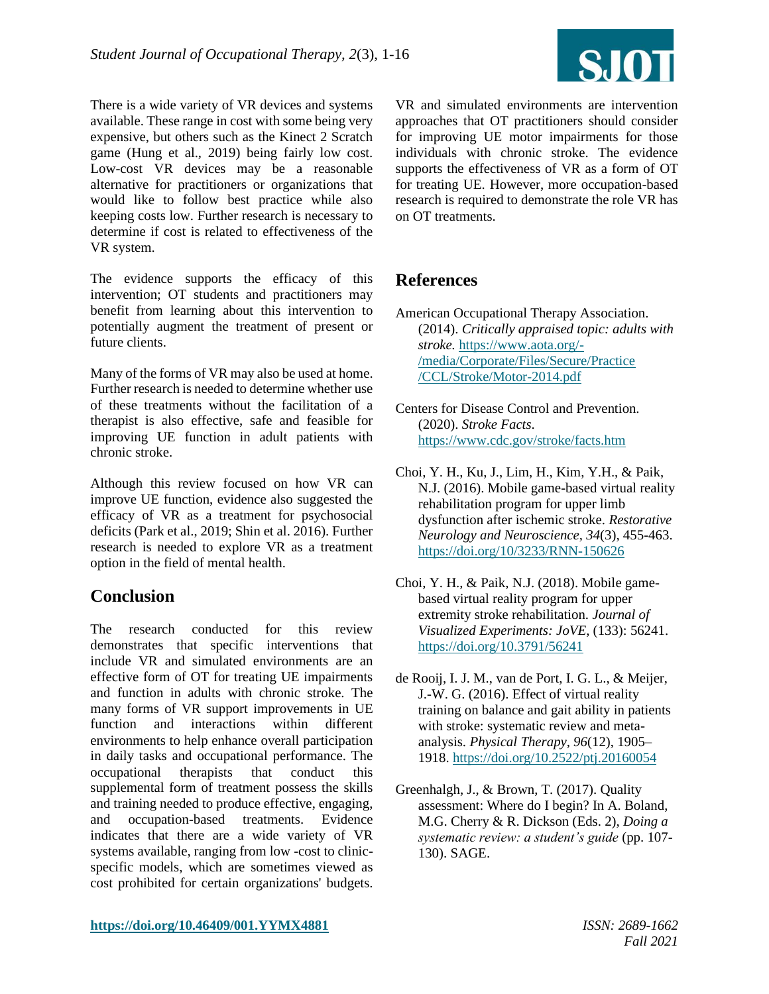

There is a wide variety of VR devices and systems available. These range in cost with some being very expensive, but others such as the Kinect 2 Scratch game (Hung et al., 2019) being fairly low cost. Low-cost VR devices may be a reasonable alternative for practitioners or organizations that would like to follow best practice while also keeping costs low. Further research is necessary to determine if cost is related to effectiveness of the VR system.

The evidence supports the efficacy of this intervention; OT students and practitioners may benefit from learning about this intervention to potentially augment the treatment of present or future clients.

Many of the forms of VR may also be used at home. Further research is needed to determine whether use of these treatments without the facilitation of a therapist is also effective, safe and feasible for improving UE function in adult patients with chronic stroke.

Although this review focused on how VR can improve UE function, evidence also suggested the efficacy of VR as a treatment for psychosocial deficits (Park et al., 2019; Shin et al. 2016). Further research is needed to explore VR as a treatment option in the field of mental health.

### **Conclusion**

The research conducted for this review demonstrates that specific interventions that include VR and simulated environments are an effective form of OT for treating UE impairments and function in adults with chronic stroke. The many forms of VR support improvements in UE function and interactions within different environments to help enhance overall participation in daily tasks and occupational performance. The occupational therapists that conduct this supplemental form of treatment possess the skills and training needed to produce effective, engaging, and occupation-based treatments. Evidence indicates that there are a wide variety of VR systems available, ranging from low -cost to clinicspecific models, which are sometimes viewed as cost prohibited for certain organizations' budgets.

VR and simulated environments are intervention approaches that OT practitioners should consider for improving UE motor impairments for those individuals with chronic stroke. The evidence supports the effectiveness of VR as a form of OT for treating UE. However, more occupation-based research is required to demonstrate the role VR has on OT treatments.

## **References**

- American Occupational Therapy Association. (2014). *Critically appraised topic: adults with stroke.* [https://www.aota.org/-](https://www.aota.org/-/media/Corporate/Files/Secure/Practice%20/CCL/Stroke/Motor-2014.pdf) [/media/Corporate/Files/Secure/Practice](https://www.aota.org/-/media/Corporate/Files/Secure/Practice%20/CCL/Stroke/Motor-2014.pdf)  [/CCL/Stroke/Motor-2014.pdf](https://www.aota.org/-/media/Corporate/Files/Secure/Practice%20/CCL/Stroke/Motor-2014.pdf)
- Centers for Disease Control and Prevention. (2020). *Stroke Facts*. <https://www.cdc.gov/stroke/facts.htm>
- Choi, Y. H., Ku, J., Lim, H., Kim, Y.H., & Paik, N.J. (2016). Mobile game-based virtual reality rehabilitation program for upper limb dysfunction after ischemic stroke. *Restorative Neurology and Neuroscience, 34*(3), 455-463. <https://doi.org/10/3233/RNN-150626>
- Choi, Y. H., & Paik, N.J. (2018). Mobile gamebased virtual reality program for upper extremity stroke rehabilitation. *Journal of Visualized Experiments: JoVE*, (133): 56241. <https://doi.org/10.3791/56241>
- de Rooij, I. J. M., van de Port, I. G. L., & Meijer, J.-W. G. (2016). Effect of virtual reality training on balance and gait ability in patients with stroke: systematic review and metaanalysis. *Physical Therapy, 96*(12), 1905– 1918.<https://doi.org/10.2522/ptj.20160054>
- Greenhalgh, J., & Brown, T. (2017). Quality assessment: Where do I begin? In A. Boland, M.G. Cherry & R. Dickson (Eds. 2), *Doing a systematic review: a student's guide* (pp. 107- 130). SAGE.

**<https://doi.org/10.46409/001.YYMX4881>** *ISSN: 2689-1662*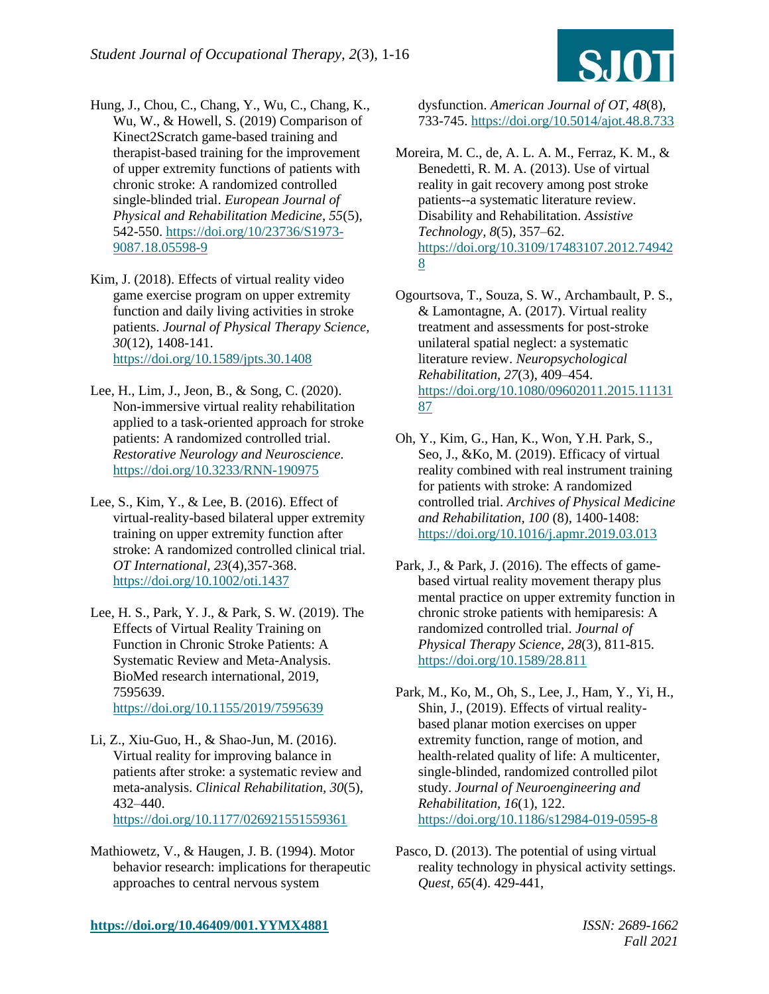

- Hung, J., Chou, C., Chang, Y., Wu, C., Chang, K., Wu, W., & Howell, S. (2019) Comparison of Kinect2Scratch game-based training and therapist-based training for the improvement of upper extremity functions of patients with chronic stroke: A randomized controlled single-blinded trial. *European Journal of Physical and Rehabilitation Medicine, 55*(5), 542-550. [https://doi.org/10/23736/S1973-](https://doi.org/10/23736/S1973-9087.18.05598-9) [9087.18.05598-9](https://doi.org/10/23736/S1973-9087.18.05598-9)
- Kim, J. (2018). Effects of virtual reality video game exercise program on upper extremity function and daily living activities in stroke patients. *Journal of Physical Therapy Science, 30*(12), 1408-141. <https://doi.org/10.1589/jpts.30.1408>
- Lee, H., Lim, J., Jeon, B., & Song, C. (2020). Non-immersive virtual reality rehabilitation applied to a task-oriented approach for stroke patients: A randomized controlled trial. *Restorative Neurology and Neuroscience.* <https://doi.org/10.3233/RNN-190975>
- Lee, S., Kim, Y., & Lee, B. (2016). Effect of virtual-reality-based bilateral upper extremity training on upper extremity function after stroke: A randomized controlled clinical trial. *OT International, 23*(4),357-368. <https://doi.org/10.1002/oti.1437>
- Lee, H. S., Park, Y. J., & Park, S. W. (2019). The Effects of Virtual Reality Training on Function in Chronic Stroke Patients: A Systematic Review and Meta-Analysis. BioMed research international, 2019, 7595639. <https://doi.org/10.1155/2019/7595639>
- Li, Z., Xiu-Guo, H., & Shao-Jun, M. (2016). Virtual reality for improving balance in patients after stroke: a systematic review and meta-analysis. *Clinical Rehabilitation, 30*(5), 432–440. <https://doi.org/10.1177/026921551559361>
- Mathiowetz, V., & Haugen, J. B. (1994). Motor behavior research: implications for therapeutic approaches to central nervous system

dysfunction. *American Journal of OT, 48*(8), 733-745.<https://doi.org/10.5014/ajot.48.8.733>

- Moreira, M. C., de, A. L. A. M., Ferraz, K. M., & Benedetti, R. M. A. (2013). Use of virtual reality in gait recovery among post stroke patients--a systematic literature review. Disability and Rehabilitation. *Assistive Technology, 8*(5), 357–62. [https://doi.org/10.3109/17483107.2012.74942](https://doi.org/10.3109/17483107.2012.749428) [8](https://doi.org/10.3109/17483107.2012.749428)
- Ogourtsova, T., Souza, S. W., Archambault, P. S., & Lamontagne, A. (2017). Virtual reality treatment and assessments for post-stroke unilateral spatial neglect: a systematic literature review. *Neuropsychological Rehabilitation, 27*(3), 409–454. [https://doi.org/10.1080/09602011.2015.11131](https://doi.org/10.1080/09602011.2015.1113187) [87](https://doi.org/10.1080/09602011.2015.1113187)
- Oh, Y., Kim, G., Han, K., Won, Y.H. Park, S., Seo, J., &Ko, M. (2019). Efficacy of virtual reality combined with real instrument training for patients with stroke: A randomized controlled trial. *Archives of Physical Medicine and Rehabilitation, 100* (8), 1400-1408: <https://doi.org/10.1016/j.apmr.2019.03.013>
- Park, J., & Park, J. (2016). The effects of gamebased virtual reality movement therapy plus mental practice on upper extremity function in chronic stroke patients with hemiparesis: A randomized controlled trial. *Journal of Physical Therapy Science, 28*(3), 811-815. <https://doi.org/10.1589/28.811>
- Park, M., Ko, M., Oh, S., Lee, J., Ham, Y., Yi, H., Shin, J., (2019). Effects of virtual realitybased planar motion exercises on upper extremity function, range of motion, and health-related quality of life: A multicenter, single-blinded, randomized controlled pilot study. *Journal of Neuroengineering and Rehabilitation, 16*(1), 122. <https://doi.org/10.1186/s12984-019-0595-8>
- Pasco, D. (2013). The potential of using virtual reality technology in physical activity settings. *Quest, 65*(4). 429-441,